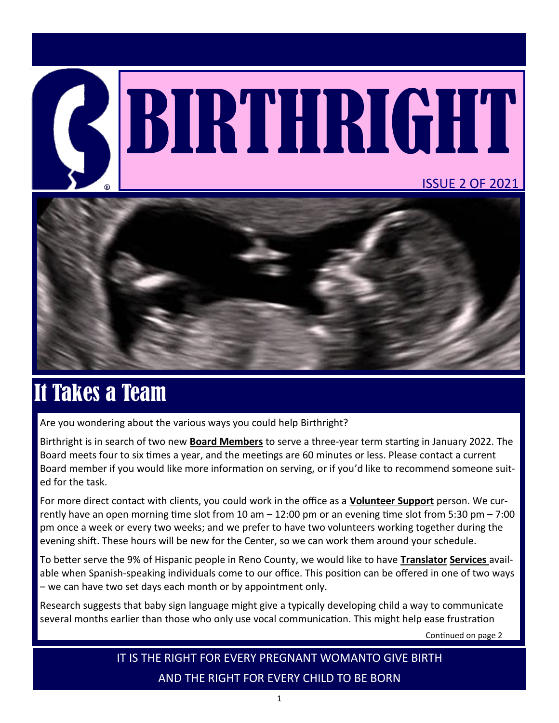# BIRTHRIGHT ISSUE 2 OF 2021



## It Takes a Team

Are you wondering about the various ways you could help Birthright?

Birthright is in search of two new **Board Members** to serve a three-year term starting in January 2022. The Board meets four to six times a year, and the meetings are 60 minutes or less. Please contact a current Board member if you would like more information on serving, or if you'd like to recommend someone suited for the task.

For more direct contact with clients, you could work in the office as a **Volunteer Support** person. We currently have an open morning time slot from 10 am – 12:00 pm or an evening time slot from 5:30 pm – 7:00 pm once a week or every two weeks; and we prefer to have two volunteers working together during the evening shift. These hours will be new for the Center, so we can work them around your schedule.

To better serve the 9% of Hispanic people in Reno County, we would like to have **Translator Services** available when Spanish-speaking individuals come to our office. This position can be offered in one of two ways – we can have two set days each month or by appointment only.

Research suggests that baby sign language might give a typically developing child a way to communicate several months earlier than those who only use vocal communication. This might help ease frustration

Continued on page 2

IT IS THE RIGHT FOR EVERY PREGNANT WOMANTO GIVE BIRTH AND THE RIGHT FOR EVERY CHILD TO BE BORN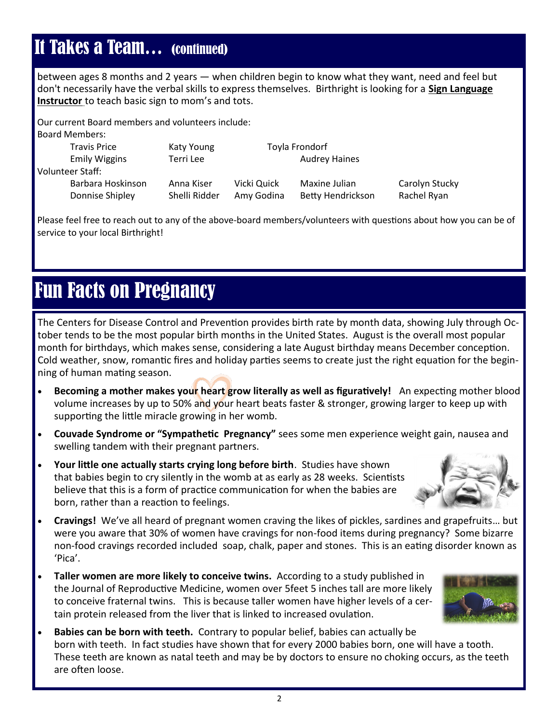## It Takes a Team… (continued)

between ages 8 months and 2 years — when children begin to know what they want, need and feel but don't necessarily have the verbal skills to express themselves. Birthright is looking for a **Sign Language Instructor** to teach basic sign to mom's and tots.

Our current Board members and volunteers include: Board Members:

| <b>Travis Price</b>                  | Katy Young                  | Toyla Frondorf            |                                    |                               |
|--------------------------------------|-----------------------------|---------------------------|------------------------------------|-------------------------------|
| <b>Emily Wiggins</b>                 | Terri Lee                   |                           | <b>Audrey Haines</b>               |                               |
| Volunteer Staff:                     |                             |                           |                                    |                               |
| Barbara Hoskinson<br>Donnise Shipley | Anna Kiser<br>Shelli Ridder | Vicki Quick<br>Amy Godina | Maxine Julian<br>Betty Hendrickson | Carolyn Stucky<br>Rachel Ryan |

Please feel free to reach out to any of the above-board members/volunteers with questions about how you can be of service to your local Birthright!

## Fun Facts on Pregnancy

The Centers for Disease Control and Prevention provides birth rate by month data, showing July through October tends to be the most popular birth months in the United States. August is the overall most popular month for birthdays, which makes sense, considering a late August birthday means December conception. Cold weather, snow, romantic fires and holiday parties seems to create just the right equation for the beginning of human mating season.

- **Becoming a mother makes you<mark>r</mark> heart grow literally as well as figuratively!** An expecting mother blood volume increases by up to 50% and your heart beats faster & stronger, growing larger to keep up with supporting the little miracle growing in her womb.
- **Couvade Syndrome or "Sympathetic Pregnancy"** sees some men experience weight gain, nausea and swelling tandem with their pregnant partners.
- **Your little one actually starts crying long before birth**. Studies have shown that babies begin to cry silently in the womb at as early as 28 weeks. Scientists believe that this is a form of practice communication for when the babies are born, rather than a reaction to feelings.



- **Cravings!** We've all heard of pregnant women craving the likes of pickles, sardines and grapefruits… but were you aware that 30% of women have cravings for non-food items during pregnancy? Some bizarre non-food cravings recorded included soap, chalk, paper and stones. This is an eating disorder known as 'Pica'.
- to conceive fraternal twins. This is because taller women have higher levels of a cer-<br>tain part is as local from the lives that is linked to increased soulding • **Taller women are more likely to conceive twins.** According to a study published in the Journal of Reproductive Medicine, women over 5feet 5 inches tall are more likely tain protein released from the liver that is linked to increased ovulation.



• **Babies can be born with teeth.** Contrary to popular belief, babies can actually be born with teeth. In fact studies have shown that for every 2000 babies born, one will have a tooth. These teeth are known as natal teeth and may be by doctors to ensure no choking occurs, as the teeth are often loose.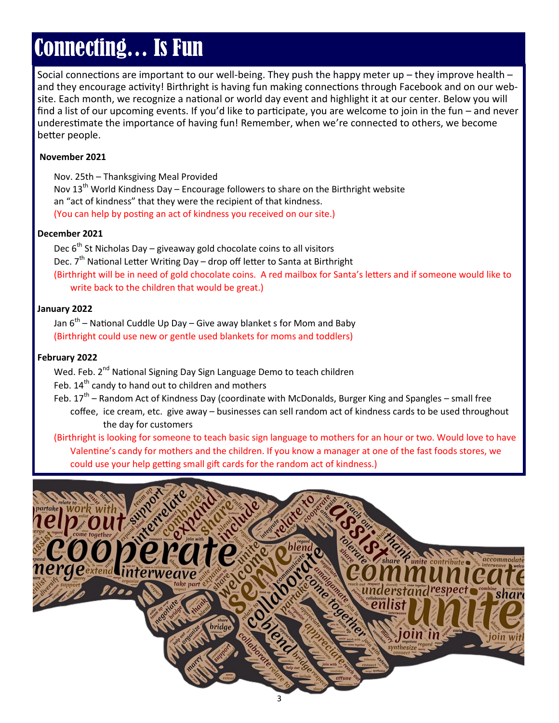# Connecting… Is Fun

Social connections are important to our well-being. They push the happy meter up – they improve health – and they encourage activity! Birthright is having fun making connections through Facebook and on our website. Each month, we recognize a national or world day event and highlight it at our center. Below you will find a list of our upcoming events. If you'd like to participate, you are welcome to join in the fun – and never underestimate the importance of having fun! Remember, when we're connected to others, we become better people.

#### **November 2021**

Nov. 25th – Thanksgiving Meal Provided Nov  $13<sup>th</sup>$  World Kindness Day – Encourage followers to share on the Birthright website an "act of kindness" that they were the recipient of that kindness. (You can help by posting an act of kindness you received on our site.)

#### **December 2021**

Dec  $6^{th}$  St Nicholas Day – giveaway gold chocolate coins to all visitors Dec.  $7<sup>th</sup>$  National Letter Writing Day – drop off letter to Santa at Birthright (Birthright will be in need of gold chocolate coins. A red mailbox for Santa's letters and if someone would like to write back to the children that would be great.)

#### **January 2022**

Jan 6<sup>th</sup> – National Cuddle Up Day – Give away blanket s for Mom and Baby (Birthright could use new or gentle used blankets for moms and toddlers)

#### **February 2022**

Wed. Feb. 2<sup>nd</sup> National Signing Day Sign Language Demo to teach children

Feb. 14<sup>th</sup> candy to hand out to children and mothers

Feb. 17<sup>th</sup> – Random Act of Kindness Day (coordinate with McDonalds, Burger King and Spangles – small free coffee, ice cream, etc. give away – businesses can sell random act of kindness cards to be used throughout the day for customers

(Birthright is looking for someone to teach basic sign language to mothers for an hour or two. Would love to have Valentine's candy for mothers and the children. If you know a manager at one of the fast foods stores, we could use your help getting small gift cards for the random act of kindness.)